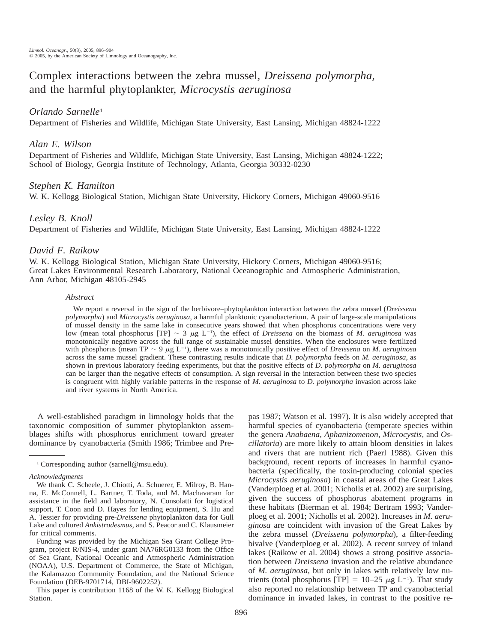# Complex interactions between the zebra mussel, *Dreissena polymorpha,* and the harmful phytoplankter, *Microcystis aeruginosa*

# *Orlando Sarnelle*<sup>1</sup>

Department of Fisheries and Wildlife, Michigan State University, East Lansing, Michigan 48824-1222

# *Alan E. Wilson*

Department of Fisheries and Wildlife, Michigan State University, East Lansing, Michigan 48824-1222; School of Biology, Georgia Institute of Technology, Atlanta, Georgia 30332-0230

# *Stephen K. Hamilton*

W. K. Kellogg Biological Station, Michigan State University, Hickory Corners, Michigan 49060-9516

## *Lesley B. Knoll*

Department of Fisheries and Wildlife, Michigan State University, East Lansing, Michigan 48824-1222

# *David F. Raikow*

W. K. Kellogg Biological Station, Michigan State University, Hickory Corners, Michigan 49060-9516; Great Lakes Environmental Research Laboratory, National Oceanographic and Atmospheric Administration, Ann Arbor, Michigan 48105-2945

## *Abstract*

We report a reversal in the sign of the herbivore–phytoplankton interaction between the zebra mussel (*Dreissena polymorpha*) and *Microcystis aeruginosa,* a harmful planktonic cyanobacterium. A pair of large-scale manipulations of mussel density in the same lake in consecutive years showed that when phosphorus concentrations were very low (mean total phosphorus [TP]  $\sim$  3  $\mu$ g L<sup>-1</sup>), the effect of *Dreissena* on the biomass of *M. aeruginosa* was monotonically negative across the full range of sustainable mussel densities. When the enclosures were fertilized with phosphorus (mean TP  $\sim$  9  $\mu$ g L<sup>-1</sup>), there was a monotonically positive effect of *Dreissena* on *M. aeruginosa* across the same mussel gradient. These contrasting results indicate that *D. polymorpha* feeds on *M. aeruginosa,* as shown in previous laboratory feeding experiments, but that the positive effects of *D. polymorpha* on *M. aeruginosa* can be larger than the negative effects of consumption. A sign reversal in the interaction between these two species is congruent with highly variable patterns in the response of *M. aeruginosa* to *D. polymorpha* invasion across lake and river systems in North America.

A well-established paradigm in limnology holds that the taxonomic composition of summer phytoplankton assemblages shifts with phosphorus enrichment toward greater dominance by cyanobacteria (Smith 1986; Trimbee and Pre-

<sup>1</sup> Corresponding author (sarnell@msu.edu).

## *Acknowledgments*

We thank C. Scheele, J. Chiotti, A. Schuerer, E. Milroy, B. Hanna, E. McConnell, L. Bartner, T. Toda, and M. Machavaram for assistance in the field and laboratory, N. Consolatti for logistical support, T. Coon and D. Hayes for lending equipment, S. Hu and A. Tessier for providing pre-*Dreissena* phytoplankton data for Gull Lake and cultured *Ankistrodesmus,* and S. Peacor and C. Klausmeier for critical comments.

Funding was provided by the Michigan Sea Grant College Program, project R/NIS-4, under grant NA76RG0133 from the Office of Sea Grant, National Oceanic and Atmospheric Administration (NOAA), U.S. Department of Commerce, the State of Michigan, the Kalamazoo Community Foundation, and the National Science Foundation (DEB-9701714, DBI-9602252).

This paper is contribution 1168 of the W. K. Kellogg Biological Station.

pas 1987; Watson et al. 1997). It is also widely accepted that harmful species of cyanobacteria (temperate species within the genera *Anabaena, Aphanizomenon, Microcystis,* and *Oscillatoria*) are more likely to attain bloom densities in lakes and rivers that are nutrient rich (Paerl 1988). Given this background, recent reports of increases in harmful cyanobacteria (specifically, the toxin-producing colonial species *Microcystis aeruginosa*) in coastal areas of the Great Lakes (Vanderploeg et al. 2001; Nicholls et al. 2002) are surprising, given the success of phosphorus abatement programs in these habitats (Bierman et al. 1984; Bertram 1993; Vanderploeg et al. 2001; Nicholls et al. 2002). Increases in *M. aeruginosa* are coincident with invasion of the Great Lakes by the zebra mussel (*Dreissena polymorpha*), a filter-feeding bivalve (Vanderploeg et al. 2002). A recent survey of inland lakes (Raikow et al. 2004) shows a strong positive association between *Dreissena* invasion and the relative abundance of *M. aeruginosa,* but only in lakes with relatively low nutrients (total phosphorus [TP] =  $10-25 \mu g L^{-1}$ ). That study also reported no relationship between TP and cyanobacterial dominance in invaded lakes, in contrast to the positive re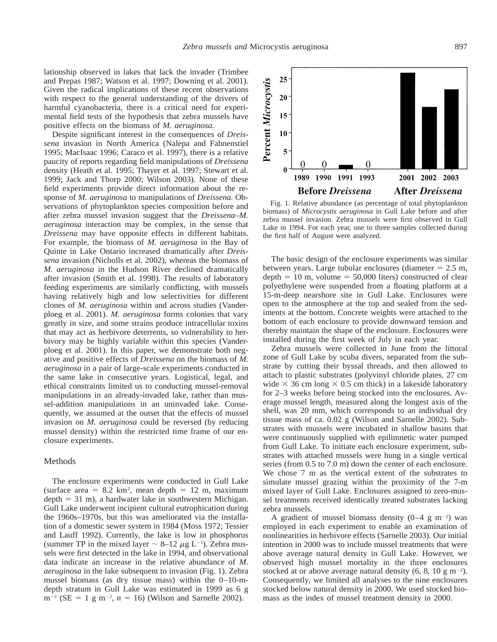lationship observed in lakes that lack the invader (Trimbee and Prepas 1987; Watson et al. 1997; Downing et al. 2001). Given the radical implications of these recent observations with respect to the general understanding of the drivers of harmful cyanobacteria, there is a critical need for experimental field tests of the hypothesis that zebra mussels have positive effects on the biomass of *M. aeruginosa.*

Despite significant interest in the consequences of *Dreissena* invasion in North America (Nalepa and Fahnenstiel 1995; MacIsaac 1996; Caraco et al. 1997), there is a relative paucity of reports regarding field manipulations of *Dreissena* density (Heath et al. 1995; Thayer et al. 1997; Stewart et al. 1999; Jack and Thorp 2000; Wilson 2003). None of these field experiments provide direct information about the response of *M. aeruginosa* to manipulations of *Dreissena.* Observations of phytoplankton species composition before and after zebra mussel invasion suggest that the *Dreissena*–*M. aeruginosa* interaction may be complex, in the sense that *Dreissena* may have opposite effects in different habitats. For example, the biomass of *M. aeruginosa* in the Bay of Quinte in Lake Ontario increased dramatically after *Dreissena* invasion (Nicholls et al. 2002), whereas the biomass of *M. aeruginosa* in the Hudson River declined dramatically after invasion (Smith et al. 1998). The results of laboratory feeding experiments are similarly conflicting, with mussels having relatively high and low selectivities for different clones of *M. aeruginosa* within and across studies (Vanderploeg et al. 2001). *M. aeruginosa* forms colonies that vary greatly in size, and some strains produce intracellular toxins that may act as herbivore deterrents, so vulnerability to herbivory may be highly variable within this species (Vanderploeg et al. 2001). In this paper, we demonstrate both negative and positive effects of *Dreissena* on the biomass of *M. aeruginosa* in a pair of large-scale experiments conducted in the same lake in consecutive years. Logistical, legal, and ethical constraints limited us to conducting mussel-removal manipulations in an already-invaded lake, rather than mussel-addition manipulations in an uninvaded lake. Consequently, we assumed at the outset that the effects of mussel invasion on *M. aeruginosa* could be reversed (by reducing mussel density) within the restricted time frame of our enclosure experiments.

## Methods

The enclosure experiments were conducted in Gull Lake (surface area =  $8.2 \text{ km}^2$ , mean depth = 12 m, maximum depth  $= 31$  m), a hardwater lake in southwestern Michigan. Gull Lake underwent incipient cultural eutrophication during the 1960s–1970s, but this was ameliorated via the installation of a domestic sewer system in 1984 (Moss 1972; Tessier and Lauff 1992). Currently, the lake is low in phosphorus (summer TP in the mixed layer  $\sim$  8–12  $\mu$ g L<sup>-1</sup>). Zebra mussels were first detected in the lake in 1994, and observational data indicate an increase in the relative abundance of *M. aeruginosa* in the lake subsequent to invasion (Fig. 1). Zebra mussel biomass (as dry tissue mass) within the 0–10-mdepth stratum in Gull Lake was estimated in 1999 as 6 g  $m^{-2}$  (SE = 1 g m<sup>-2</sup>,  $n = 16$ ) (Wilson and Sarnelle 2002).



Fig. 1. Relative abundance (as percentage of total phytoplankton biomass) of *Microcystis aeruginosa* in Gull Lake before and after zebra mussel invasion. Zebra mussels were first observed in Gull Lake in 1994. For each year, one to three samples collected during the first half of August were analyzed.

The basic design of the enclosure experiments was similar between years. Large tubular enclosures (diameter  $= 2.5$  m, depth  $= 10$  m, volume  $= 50,000$  liters) constructed of clear polyethylene were suspended from a floating platform at a 15-m-deep nearshore site in Gull Lake. Enclosures were open to the atmosphere at the top and sealed from the sediments at the bottom. Concrete weights were attached to the bottom of each enclosure to provide downward tension and thereby maintain the shape of the enclosure. Enclosures were installed during the first week of July in each year.

Zebra mussels were collected in June from the littoral zone of Gull Lake by scuba divers, separated from the substrate by cutting their byssal threads, and then allowed to attach to plastic substrates (polyvinyl chloride plates, 27 cm wide  $\times$  36 cm long  $\times$  0.5 cm thick) in a lakeside laboratory for 2–3 weeks before being stocked into the enclosures. Average mussel length, measured along the longest axis of the shell, was 20 mm, which corresponds to an individual dry tissue mass of ca. 0.02 g (Wilson and Sarnelle 2002). Substrates with mussels were incubated in shallow basins that were continuously supplied with epilimnetic water pumped from Gull Lake. To initiate each enclosure experiment, substrates with attached mussels were hung in a single vertical series (from 0.5 to 7.0 m) down the center of each enclosure. We chose 7 m as the vertical extent of the substrates to simulate mussel grazing within the proximity of the 7-m mixed layer of Gull Lake. Enclosures assigned to zero-mussel treatments received identically treated substrates lacking zebra mussels.

A gradient of mussel biomass density  $(0-4 \text{ g m}^{-2})$  was employed in each experiment to enable an examination of nonlinearities in herbivore effects (Sarnelle 2003). Our initial intention in 2000 was to include mussel treatments that were above average natural density in Gull Lake. However, we observed high mussel mortality in the three enclosures stocked at or above average natural density  $(6, 8, 10 \text{ g m}^{-2})$ . Consequently, we limited all analyses to the nine enclosures stocked below natural density in 2000. We used stocked biomass as the index of mussel treatment density in 2000.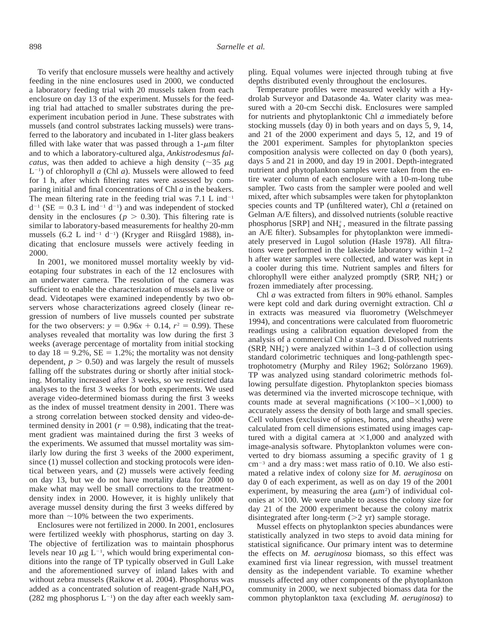To verify that enclosure mussels were healthy and actively feeding in the nine enclosures used in 2000, we conducted a laboratory feeding trial with 20 mussels taken from each enclosure on day 13 of the experiment. Mussels for the feeding trial had attached to smaller substrates during the preexperiment incubation period in June. These substrates with mussels (and control substrates lacking mussels) were transferred to the laboratory and incubated in 1-liter glass beakers filled with lake water that was passed through a  $1-\mu m$  filter and to which a laboratory-cultured alga, *Ankistrodesmus falcatus*, was then added to achieve a high density ( $\sim$ 35  $\mu$ g  $L^{-1}$ ) of chlorophyll *a* (Chl *a*). Mussels were allowed to feed for 1 h, after which filtering rates were assessed by comparing initial and final concentrations of Chl *a* in the beakers. The mean filtering rate in the feeding trial was  $7.1 \text{ L}$  ind<sup>-1</sup>  $d^{-1}$  (SE = 0.3 L ind<sup>-1</sup> d<sup>-1</sup>) and was independent of stocked density in the enclosures ( $p > 0.30$ ). This filtering rate is similar to laboratory-based measurements for healthy 20-mm mussels  $(6.2 \text{ L ind}^{-1} \text{ d}^{-1})$  (Kryger and Riisgård 1988), indicating that enclosure mussels were actively feeding in 2000.

In 2001, we monitored mussel mortality weekly by videotaping four substrates in each of the 12 enclosures with an underwater camera. The resolution of the camera was sufficient to enable the characterization of mussels as live or dead. Videotapes were examined independently by two observers whose characterizations agreed closely (linear regression of numbers of live mussels counted per substrate for the two observers:  $y = 0.96x + 0.14$ ,  $r^2 = 0.99$ ). These analyses revealed that mortality was low during the first 3 weeks (average percentage of mortality from initial stocking to day  $18 = 9.2\%$ ,  $SE = 1.2\%$ ; the mortality was not density dependent,  $p > 0.50$ ) and was largely the result of mussels falling off the substrates during or shortly after initial stocking. Mortality increased after 3 weeks, so we restricted data analyses to the first 3 weeks for both experiments. We used average video-determined biomass during the first 3 weeks as the index of mussel treatment density in 2001. There was a strong correlation between stocked density and video-determined density in 2001 ( $r = 0.98$ ), indicating that the treatment gradient was maintained during the first 3 weeks of the experiments. We assumed that mussel mortality was similarly low during the first 3 weeks of the 2000 experiment, since (1) mussel collection and stocking protocols were identical between years, and (2) mussels were actively feeding on day 13, but we do not have mortality data for 2000 to make what may well be small corrections to the treatmentdensity index in 2000. However, it is highly unlikely that average mussel density during the first 3 weeks differed by more than  $\sim$ 10% between the two experiments.

Enclosures were not fertilized in 2000. In 2001, enclosures were fertilized weekly with phosphorus, starting on day 3. The objective of fertilization was to maintain phosphorus levels near 10  $\mu$ g L<sup>-1</sup>, which would bring experimental conditions into the range of TP typically observed in Gull Lake and the aforementioned survey of inland lakes with and without zebra mussels (Raikow et al. 2004). Phosphorus was added as a concentrated solution of reagent-grade  $NaH<sub>2</sub>PO<sub>4</sub>$  $(282 \text{ mg phosphorus L}^{-1})$  on the day after each weekly sampling. Equal volumes were injected through tubing at five depths distributed evenly throughout the enclosures.

Temperature profiles were measured weekly with a Hydrolab Surveyor and Datasonde 4a. Water clarity was measured with a 20-cm Secchi disk. Enclosures were sampled for nutrients and phytoplanktonic Chl *a* immediately before stocking mussels (day 0) in both years and on days 5, 9, 14, and 21 of the 2000 experiment and days 5, 12, and 19 of the 2001 experiment. Samples for phytoplankton species composition analysis were collected on day 0 (both years), days 5 and 21 in 2000, and day 19 in 2001. Depth-integrated nutrient and phytoplankton samples were taken from the entire water column of each enclosure with a 10-m-long tube sampler. Two casts from the sampler were pooled and well mixed, after which subsamples were taken for phytoplankton species counts and TP (unfiltered water), Chl *a* (retained on Gelman A/E filters), and dissolved nutrients (soluble reactive phosphorus [SRP] and  $NH<sub>4</sub><sup>+</sup>$ , measured in the filtrate passing an A/E filter). Subsamples for phytoplankton were immediately preserved in Lugol solution (Hasle 1978). All filtrations were performed in the lakeside laboratory within 1–2 h after water samples were collected, and water was kept in a cooler during this time. Nutrient samples and filters for chlorophyll were either analyzed promptly (SRP,  $NH<sub>4</sub>$ ) or frozen immediately after processing.

Chl *a* was extracted from filters in 90% ethanol. Samples were kept cold and dark during overnight extraction. Chl *a* in extracts was measured via fluorometry (Welschmeyer 1994), and concentrations were calculated from fluorometric readings using a calibration equation developed from the analysis of a commercial Chl *a* standard. Dissolved nutrients  $(SRP, NH<sub>4</sub><sup>+</sup>)$  were analyzed within 1–3 d of collection using standard colorimetric techniques and long-pathlength spectrophotometry (Murphy and Riley 1962; Solórzano 1969). TP was analyzed using standard colorimetric methods following persulfate digestion. Phytoplankton species biomass was determined via the inverted microscope technique, with counts made at several magnifications  $(\times 100 - \times 1,000)$  to accurately assess the density of both large and small species. Cell volumes (exclusive of spines, horns, and sheaths) were calculated from cell dimensions estimated using images captured with a digital camera at  $\times 1,000$  and analyzed with image-analysis software. Phytoplankton volumes were converted to dry biomass assuming a specific gravity of 1 g  $cm^{-3}$  and a dry mass : wet mass ratio of 0.10. We also estimated a relative index of colony size for *M. aeruginosa* on day 0 of each experiment, as well as on day 19 of the 2001 experiment, by measuring the area  $(\mu m^2)$  of individual colonies at  $\times 100$ . We were unable to assess the colony size for day 21 of the 2000 experiment because the colony matrix disintegrated after long-term  $(>2 \text{ yr})$  sample storage.

Mussel effects on phytoplankton species abundances were statistically analyzed in two steps to avoid data mining for statistical significance. Our primary intent was to determine the effects on *M. aeruginosa* biomass, so this effect was examined first via linear regression, with mussel treatment density as the independent variable. To examine whether mussels affected any other components of the phytoplankton community in 2000, we next subjected biomass data for the common phytoplankton taxa (excluding *M. aeruginosa*) to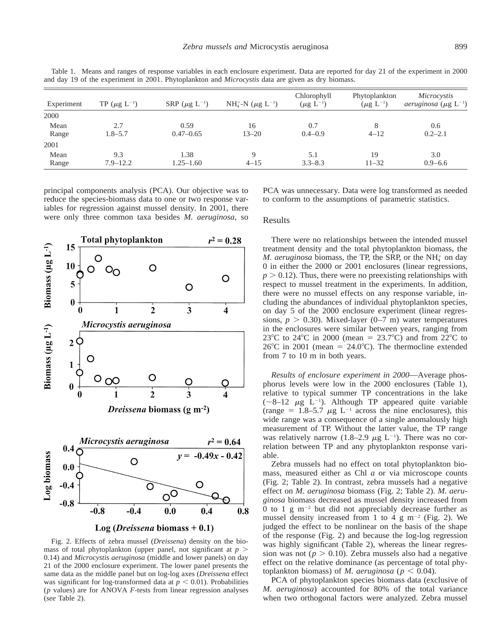| Experiment    | TP ( $\mu$ g L <sup>-1</sup> ) | SRP ( $\mu$ g L <sup>-1</sup> ) | $NH_4^+$ -N ( $\mu$ g L <sup>-1</sup> ) | Chlorophyll<br>$(\mu g L^{-1})$ | Phytoplankton<br>$(\mu g L^{-1})$ | Microcystis<br><i>aeruginosa</i> ( $\mu$ g L <sup>-1</sup> ) |
|---------------|--------------------------------|---------------------------------|-----------------------------------------|---------------------------------|-----------------------------------|--------------------------------------------------------------|
| 2000          |                                |                                 |                                         |                                 |                                   |                                                              |
| Mean<br>Range | 2.7<br>$1.8 - 5.7$             | 0.59<br>$0.47 - 0.65$           | 16<br>$13 - 20$                         | 0.7<br>$0.4 - 0.9$              | 8<br>$4 - 12$                     | 0.6<br>$0.2 - 2.1$                                           |
| 2001          |                                |                                 |                                         |                                 |                                   |                                                              |
| Mean<br>Range | 9.3<br>$7.9 - 12.2$            | 1.38<br>$1.25 - 1.60$           | Q<br>$4 - 15$                           | 5.1<br>$3.3 - 8.3$              | 19<br>$11 - 32$                   | 3.0<br>$0.9 - 6.6$                                           |

Table 1. Means and ranges of response variables in each enclosure experiment. Data are reported for day 21 of the experiment in 2000 and day 19 of the experiment in 2001. Phytoplankton and *Microcystis* data are given as dry biomass.

principal components analysis (PCA). Our objective was to reduce the species-biomass data to one or two response variables for regression against mussel density. In 2001, there were only three common taxa besides *M. aeruginosa,* so





Log (*Dreissena* biomass +  $0.1$ )

Fig. 2. Effects of zebra mussel (*Dreissena*) density on the biomass of total phytoplankton (upper panel, not significant at  $p >$ 0.14) and *Microcystis aeruginosa* (middle and lower panels) on day 21 of the 2000 enclosure experiment. The lower panel presents the same data as the middle panel but on log-log axes (*Dreissena* effect was significant for log-transformed data at  $p < 0.01$ ). Probabilities (*p* values) are for ANOVA *F*-tests from linear regression analyses (*see* Table 2).

PCA was unnecessary. Data were log transformed as needed to conform to the assumptions of parametric statistics.

### Results

There were no relationships between the intended mussel treatment density and the total phytoplankton biomass, the *M. aeruginosa* biomass, the TP, the SRP, or the NH<sup>+</sup> on day 0 in either the 2000 or 2001 enclosures (linear regressions,  $p > 0.12$ ). Thus, there were no preexisting relationships with respect to mussel treatment in the experiments. In addition, there were no mussel effects on any response variable, including the abundances of individual phytoplankton species, on day 5 of the 2000 enclosure experiment (linear regressions,  $p > 0.30$ ). Mixed-layer (0–7 m) water temperatures in the enclosures were similar between years, ranging from 23<sup>°</sup>C to 24<sup>°</sup>C in 2000 (mean = 23.7<sup>°</sup>C) and from 22<sup>°</sup>C to  $26^{\circ}$ C in 2001 (mean = 24.0°C). The thermocline extended from 7 to 10 m in both years.

*Results of enclosure experiment in 2000*—Average phosphorus levels were low in the 2000 enclosures (Table 1), relative to typical summer TP concentrations in the lake  $(\sim 8-12 \mu g L^{-1})$ . Although TP appeared quite variable (range = 1.8–5.7  $\mu$ g L<sup>-1</sup> across the nine enclosures), this wide range was a consequence of a single anomalously high measurement of TP. Without the latter value, the TP range was relatively narrow (1.8–2.9  $\mu$ g L<sup>-1</sup>). There was no correlation between TP and any phytoplankton response variable.

Zebra mussels had no effect on total phytoplankton biomass, measured either as Chl *a* or via microscope counts (Fig. 2; Table 2). In contrast, zebra mussels had a negative effect on *M. aeruginosa* biomass (Fig. 2; Table 2). *M. aeruginosa* biomass decreased as mussel density increased from 0 to 1 g  $m^{-2}$  but did not appreciably decrease further as mussel density increased from 1 to 4 g m<sup>-2</sup> (Fig. 2). We judged the effect to be nonlinear on the basis of the shape of the response (Fig. 2) and because the log-log regression was highly significant (Table 2), whereas the linear regression was not ( $p > 0.10$ ). Zebra mussels also had a negative effect on the relative dominance (as percentage of total phytoplankton biomass) of *M. aeruginosa* ( $p < 0.04$ ).

PCA of phytoplankton species biomass data (exclusive of *M. aeruginosa*) accounted for 80% of the total variance when two orthogonal factors were analyzed. Zebra mussel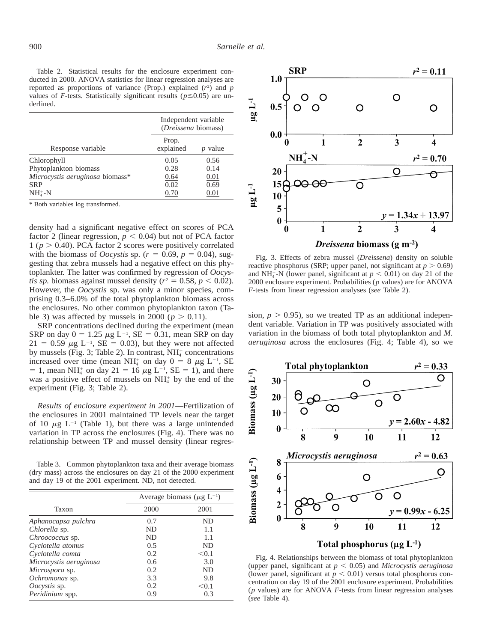Table 2. Statistical results for the enclosure experiment conducted in 2000. ANOVA statistics for linear regression analyses are reported as proportions of variance (Prop.) explained  $(r^2)$  and  $p$ values of *F*-tests. Statistically significant results ( $p \le 0.05$ ) are underlined.

|                                 | Independent variable<br>( <i>Dreissena</i> biomass) |       |  |
|---------------------------------|-----------------------------------------------------|-------|--|
| Response variable               | Prop.<br>explained                                  | value |  |
| Chlorophyll                     | 0.05                                                | 0.56  |  |
| Phytoplankton biomass           | 0.28                                                | 0.14  |  |
| Microcystis aeruginosa biomass* | 0.64                                                | 0.01  |  |
| <b>SRP</b>                      | 0.02                                                | 0.69  |  |
| $NH4+-N$                        | 0.70                                                | 0.01  |  |
|                                 |                                                     |       |  |

\* Both variables log transformed.

density had a significant negative effect on scores of PCA factor 2 (linear regression,  $p < 0.04$ ) but not of PCA factor 1 ( $p > 0.40$ ). PCA factor 2 scores were positively correlated with the biomass of *Oocystis* sp. ( $r = 0.69$ ,  $p = 0.04$ ), suggesting that zebra mussels had a negative effect on this phytoplankter. The latter was confirmed by regression of *Oocystis sp.* biomass against mussel density ( $r^2 = 0.58$ ,  $p < 0.02$ ). However, the *Oocystis* sp. was only a minor species, comprising 0.3–6.0% of the total phytoplankton biomass across the enclosures. No other common phytoplankton taxon (Table 3) was affected by mussels in 2000 ( $p > 0.11$ ).

SRP concentrations declined during the experiment (mean SRP on day  $0 = 1.25 \mu g L^{-1}$ , SE = 0.31, mean SRP on day  $21 = 0.59 \mu g L^{-1}$ , SE = 0.03), but they were not affected by mussels (Fig. 3; Table 2). In contrast, NH<sub>4</sub> concentrations increased over time (mean NH<sub>4</sub><sup>+</sup> on day  $0 = 8 \mu g L^{-1}$ , SE = 1, mean NH<sup>+</sup> on day 21 = 16  $\mu$ g L<sup>-1</sup>, SE = 1), and there was a positive effect of mussels on  $NH<sub>4</sub>$  by the end of the experiment (Fig. 3; Table 2).

*Results of enclosure experiment in 2001*—Fertilization of the enclosures in 2001 maintained TP levels near the target of 10  $\mu$ g L<sup>-1</sup> (Table 1), but there was a large unintended variation in TP across the enclosures (Fig. 4). There was no relationship between TP and mussel density (linear regres-

Table 3. Common phytoplankton taxa and their average biomass (dry mass) across the enclosures on day 21 of the 2000 experiment and day 19 of the 2001 experiment. ND, not detected.

|                        |           | Average biomass ( $\mu$ g L <sup>-1</sup> ) |  |  |
|------------------------|-----------|---------------------------------------------|--|--|
| Taxon                  | 2000      | 2001                                        |  |  |
| Aphanocapsa pulchra    | 0.7       | ND.                                         |  |  |
| Chlorella sp.          | ND        | 1.1                                         |  |  |
| Chroococcus sp.        | <b>ND</b> | 1.1                                         |  |  |
| Cyclotella atomus      | 0.5       | ND.                                         |  |  |
| Cyclotella comta       | 0.2       | < 0.1                                       |  |  |
| Microcystis aeruginosa | 0.6       | 3.0                                         |  |  |
| Microspora sp.         | 0.2       | ND.                                         |  |  |
| Ochromonas sp.         | 3.3       | 9.8                                         |  |  |
| Oocystis sp.           | 0.2       | < 0.1                                       |  |  |
| Peridinium spp.        | 0.9       | 0.3                                         |  |  |



Fig. 3. Effects of zebra mussel (*Dreissena*) density on soluble reactive phosphorus (SRP; upper panel, not significant at  $p > 0.69$ ) and NH<sup> $_4$ </sup>-N (lower panel, significant at  $p < 0.01$ ) on day 21 of the 2000 enclosure experiment. Probabilities (*p* values) are for ANOVA *F*-tests from linear regression analyses (*see* Table 2).

sion,  $p > 0.95$ ), so we treated TP as an additional independent variable. Variation in TP was positively associated with variation in the biomass of both total phytoplankton and *M. aeruginosa* across the enclosures (Fig. 4; Table 4), so we



Fig. 4. Relationships between the biomass of total phytoplankton (upper panel, significant at  $p < 0.05$ ) and *Microcystis aeruginosa* (lower panel, significant at  $p < 0.01$ ) versus total phosphorus concentration on day 19 of the 2001 enclosure experiment. Probabilities (*p* values) are for ANOVA *F*-tests from linear regression analyses (*see* Table 4).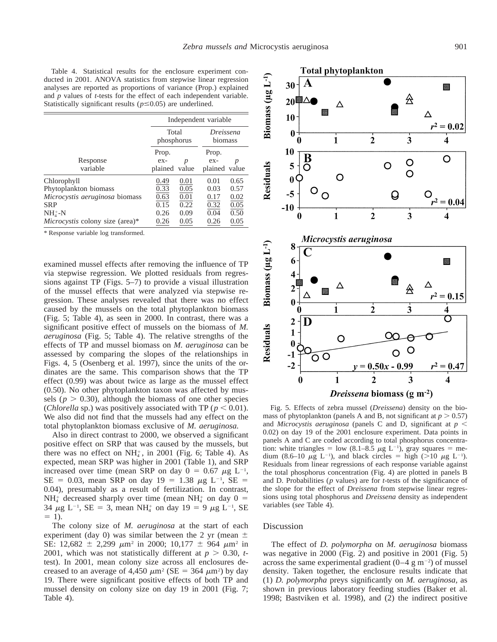Table 4. Statistical results for the enclosure experiment conducted in 2001. ANOVA statistics from stepwise linear regression analyses are reported as proportions of variance (Prop.) explained and *p* values of *t*-tests for the effect of each independent variable. Statistically significant results ( $p \le 0.05$ ) are underlined.

|                                        | Independent variable |       |                             |      |
|----------------------------------------|----------------------|-------|-----------------------------|------|
|                                        | Total<br>phosphorus  |       | <i>Dreissena</i><br>biomass |      |
| Response                               | Prop.<br>$ex-$       | p     | Prop.<br>ex-                | p    |
| variable                               | plained              | value | plained value               |      |
| Chlorophyll                            | 0.49                 | 0.01  | 0.01                        | 0.65 |
| Phytoplankton biomass                  | 0.33                 | 0.05  | 0.03                        | 0.57 |
| Microcystis aeruginosa biomass         | 0.63                 | 0.01  | 0.17                        | 0.02 |
| <b>SRP</b>                             | 0.15                 | 0.22  | 0.32                        | 0.05 |
| $NH4+-N$                               | 0.26                 | 0.09  | 0.04                        | 0.50 |
| <i>Microcystis</i> colony size (area)* | 0.26                 | 0.05  | 0.26                        | 0.05 |

\* Response variable log transformed.

examined mussel effects after removing the influence of TP via stepwise regression. We plotted residuals from regressions against TP (Figs. 5–7) to provide a visual illustration of the mussel effects that were analyzed via stepwise regression. These analyses revealed that there was no effect caused by the mussels on the total phytoplankton biomass (Fig. 5; Table 4), as seen in 2000. In contrast, there was a significant positive effect of mussels on the biomass of *M. aeruginosa* (Fig. 5; Table 4). The relative strengths of the effects of TP and mussel biomass on *M. aeruginosa* can be assessed by comparing the slopes of the relationships in Figs. 4, 5 (Osenberg et al. 1997), since the units of the ordinates are the same. This comparison shows that the TP effect (0.99) was about twice as large as the mussel effect (0.50). No other phytoplankton taxon was affected by mussels ( $p > 0.30$ ), although the biomass of one other species (*Chlorella* sp.) was positively associated with TP ( $p < 0.01$ ). We also did not find that the mussels had any effect on the total phytoplankton biomass exclusive of *M. aeruginosa.*

Also in direct contrast to 2000, we observed a significant positive effect on SRP that was caused by the mussels, but there was no effect on  $NH_4^+$ , in 2001 (Fig. 6; Table 4). As expected, mean SRP was higher in 2001 (Table 1), and SRP increased over time (mean SRP on day  $0 = 0.67 \mu g L^{-1}$ ,  $SE = 0.03$ , mean SRP on day  $19 = 1.38 \mu g L^{-1}$ , SE = 0.04), presumably as a result of fertilization. In contrast,  $NH_4^+$  decreased sharply over time (mean NH<sup>+</sup> on day 0 = 34  $\mu$ g L<sup>-1</sup>, SE = 3, mean NH<sub>4</sub><sup>+</sup> on day 19 = 9  $\mu$ g L<sup>-1</sup>, SE  $= 1$ ).

The colony size of *M. aeruginosa* at the start of each experiment (day 0) was similar between the 2 yr (mean  $\pm$ SE: 12,682  $\pm$  2,299  $\mu$ m<sup>2</sup> in 2000; 10,177  $\pm$  964  $\mu$ m<sup>2</sup> in 2001, which was not statistically different at  $p > 0.30$ , *t*test). In 2001, mean colony size across all enclosures decreased to an average of 4,450  $\mu$ m<sup>2</sup> (SE = 364  $\mu$ m<sup>2</sup>) by day 19. There were significant positive effects of both TP and mussel density on colony size on day 19 in 2001 (Fig. 7; Table 4).



Fig. 5. Effects of zebra mussel (*Dreissena*) density on the biomass of phytoplankton (panels A and B, not significant at  $p > 0.57$ ) and *Microcystis aeruginosa* (panels C and D, significant at  $p <$ 0.02) on day 19 of the 2001 enclosure experiment. Data points in panels A and C are coded according to total phosphorus concentration: white triangles = low (8.1–8.5  $\mu$ g L<sup>-1</sup>), gray squares = medium (8.6–10  $\mu$ g L<sup>-1</sup>), and black circles = high (>10  $\mu$ g L<sup>-1</sup>). Residuals from linear regressions of each response variable against the total phosphorus concentration (Fig. 4) are plotted in panels B and D. Probabilities (*p* values) are for *t*-tests of the significance of the slope for the effect of *Dreissena* from stepwise linear regressions using total phosphorus and *Dreissena* density as independent variables (*see* Table 4).

#### Discussion

The effect of *D. polymorpha* on *M. aeruginosa* biomass was negative in 2000 (Fig. 2) and positive in 2001 (Fig. 5) across the same experimental gradient  $(0-4 \text{ g m}^{-2})$  of mussel density. Taken together, the enclosure results indicate that (1) *D. polymorpha* preys significantly on *M. aeruginosa,* as shown in previous laboratory feeding studies (Baker et al. 1998; Bastviken et al. 1998), and (2) the indirect positive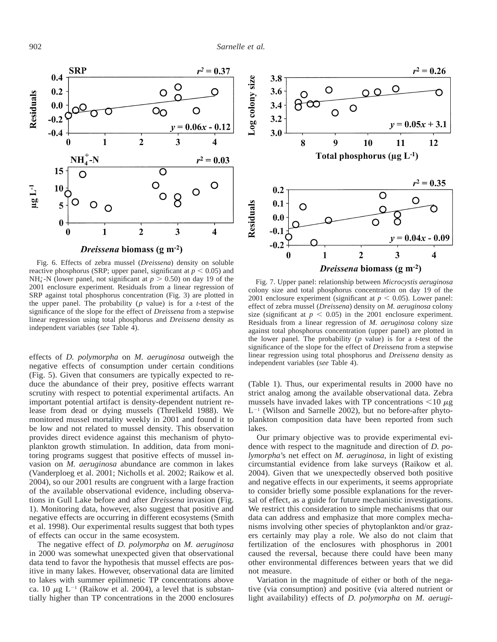

Fig. 6. Effects of zebra mussel (*Dreissena*) density on soluble reactive phosphorus (SRP; upper panel, significant at  $p < 0.05$ ) and  $NH_4^+$ -N (lower panel, not significant at  $p > 0.50$ ) on day 19 of the 2001 enclosure experiment. Residuals from a linear regression of SRP against total phosphorus concentration (Fig. 3) are plotted in the upper panel. The probability (*p* value) is for a *t*-test of the significance of the slope for the effect of *Dreissena* from a stepwise linear regression using total phosphorus and *Dreissena* density as independent variables (*see* Table 4).

effects of *D. polymorpha* on *M. aeruginosa* outweigh the negative effects of consumption under certain conditions (Fig. 5). Given that consumers are typically expected to reduce the abundance of their prey, positive effects warrant scrutiny with respect to potential experimental artifacts. An important potential artifact is density-dependent nutrient release from dead or dying mussels (Threlkeld 1988). We monitored mussel mortality weekly in 2001 and found it to be low and not related to mussel density. This observation provides direct evidence against this mechanism of phytoplankton growth stimulation. In addition, data from monitoring programs suggest that positive effects of mussel invasion on *M. aeruginosa* abundance are common in lakes (Vanderploeg et al. 2001; Nicholls et al. 2002; Raikow et al. 2004), so our 2001 results are congruent with a large fraction of the available observational evidence, including observations in Gull Lake before and after *Dreissena* invasion (Fig. 1). Monitoring data, however, also suggest that positive and negative effects are occurring in different ecosystems (Smith et al. 1998). Our experimental results suggest that both types of effects can occur in the same ecosystem.

The negative effect of *D. polymorpha* on *M. aeruginosa* in 2000 was somewhat unexpected given that observational data tend to favor the hypothesis that mussel effects are positive in many lakes. However, observational data are limited to lakes with summer epilimnetic TP concentrations above ca. 10  $\mu$ g L<sup>-1</sup> (Raikow et al. 2004), a level that is substantially higher than TP concentrations in the 2000 enclosures



Fig. 7. Upper panel: relationship between *Microcystis aeruginosa* colony size and total phosphorus concentration on day 19 of the 2001 enclosure experiment (significant at  $p < 0.05$ ). Lower panel: effect of zebra mussel (*Dreissena*) density on *M. aeruginosa* colony size (significant at  $p < 0.05$ ) in the 2001 enclosure experiment. Residuals from a linear regression of *M. aeruginosa* colony size against total phosphorus concentration (upper panel) are plotted in the lower panel. The probability (*p* value) is for a *t*-test of the significance of the slope for the effect of *Dreissena* from a stepwise linear regression using total phosphorus and *Dreissena* density as independent variables (*see* Table 4).

(Table 1). Thus, our experimental results in 2000 have no strict analog among the available observational data. Zebra mussels have invaded lakes with TP concentrations  $\leq 10 \mu$ g  $L^{-1}$  (Wilson and Sarnelle 2002), but no before-after phytoplankton composition data have been reported from such lakes.

Our primary objective was to provide experimental evidence with respect to the magnitude and direction of *D. polymorpha*'s net effect on *M. aeruginosa,* in light of existing circumstantial evidence from lake surveys (Raikow et al. 2004). Given that we unexpectedly observed both positive and negative effects in our experiments, it seems appropriate to consider briefly some possible explanations for the reversal of effect, as a guide for future mechanistic investigations. We restrict this consideration to simple mechanisms that our data can address and emphasize that more complex mechanisms involving other species of phytoplankton and/or grazers certainly may play a role. We also do not claim that fertilization of the enclosures with phosphorus in 2001 caused the reversal, because there could have been many other environmental differences between years that we did not measure.

Variation in the magnitude of either or both of the negative (via consumption) and positive (via altered nutrient or light availability) effects of *D. polymorpha* on *M. aerugi-*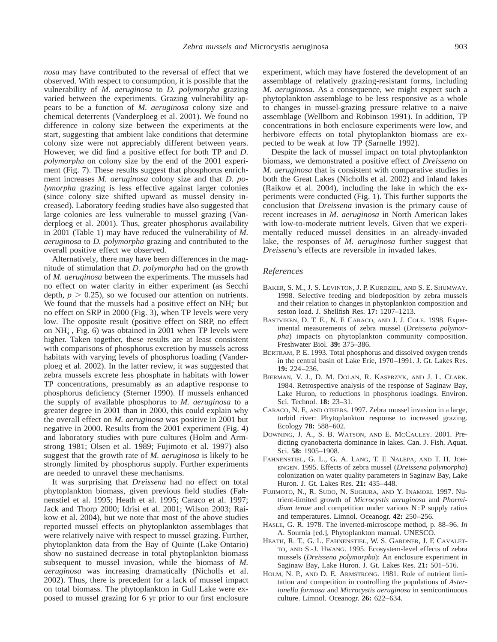*nosa* may have contributed to the reversal of effect that we observed. With respect to consumption, it is possible that the vulnerability of *M. aeruginosa* to *D. polymorpha* grazing varied between the experiments. Grazing vulnerability appears to be a function of *M. aeruginosa* colony size and chemical deterrents (Vanderploeg et al. 2001). We found no difference in colony size between the experiments at the start, suggesting that ambient lake conditions that determine colony size were not appreciably different between years. However, we did find a positive effect for both TP and *D. polymorpha* on colony size by the end of the 2001 experiment (Fig. 7). These results suggest that phosphorus enrichment increases *M. aeruginosa* colony size and that *D. polymorpha* grazing is less effective against larger colonies (since colony size shifted upward as mussel density increased). Laboratory feeding studies have also suggested that large colonies are less vulnerable to mussel grazing (Vanderploeg et al. 2001). Thus, greater phosphorus availability in 2001 (Table 1) may have reduced the vulnerability of *M. aeruginosa* to *D. polymorpha* grazing and contributed to the overall positive effect we observed.

Alternatively, there may have been differences in the magnitude of stimulation that *D. polymorpha* had on the growth of *M. aeruginosa* between the experiments. The mussels had no effect on water clarity in either experiment (as Secchi depth,  $p > 0.25$ ), so we focused our attention on nutrients. We found that the mussels had a positive effect on  $NH<sub>4</sub><sup>+</sup>$  but no effect on SRP in 2000 (Fig. 3), when TP levels were very low. The opposite result (positive effect on SRP, no effect on  $NH_4^+$ , Fig. 6) was obtained in 2001 when TP levels were higher. Taken together, these results are at least consistent with comparisons of phosphorus excretion by mussels across habitats with varying levels of phosphorus loading (Vanderploeg et al. 2002). In the latter review, it was suggested that zebra mussels excrete less phosphate in habitats with lower TP concentrations, presumably as an adaptive response to phosphorus deficiency (Sterner 1990). If mussels enhanced the supply of available phosphorus to *M. aeruginosa* to a greater degree in 2001 than in 2000, this could explain why the overall effect on *M. aeruginosa* was positive in 2001 but negative in 2000. Results from the 2001 experiment (Fig. 4) and laboratory studies with pure cultures (Holm and Armstrong 1981; Olsen et al. 1989; Fujimoto et al. 1997) also suggest that the growth rate of *M. aeruginosa* is likely to be strongly limited by phosphorus supply. Further experiments are needed to unravel these mechanisms.

It was surprising that *Dreissena* had no effect on total phytoplankton biomass, given previous field studies (Fahnenstiel et al. 1995; Heath et al. 1995; Caraco et al. 1997; Jack and Thorp 2000; Idrisi et al. 2001; Wilson 2003; Raikow et al. 2004), but we note that most of the above studies reported mussel effects on phytoplankton assemblages that were relatively naive with respect to mussel grazing. Further, phytoplankton data from the Bay of Quinte (Lake Ontario) show no sustained decrease in total phytoplankton biomass subsequent to mussel invasion, while the biomass of *M. aeruginosa* was increasing dramatically (Nicholls et al. 2002). Thus, there is precedent for a lack of mussel impact on total biomass. The phytoplankton in Gull Lake were exposed to mussel grazing for 6 yr prior to our first enclosure experiment, which may have fostered the development of an assemblage of relatively grazing-resistant forms, including *M. aeruginosa.* As a consequence, we might expect such a phytoplankton assemblage to be less responsive as a whole to changes in mussel-grazing pressure relative to a naive assemblage (Wellborn and Robinson 1991). In addition, TP concentrations in both enclosure experiments were low, and herbivore effects on total phytoplankton biomass are expected to be weak at low TP (Sarnelle 1992).

Despite the lack of mussel impact on total phytoplankton biomass, we demonstrated a positive effect of *Dreissena* on *M. aeruginosa* that is consistent with comparative studies in both the Great Lakes (Nicholls et al. 2002) and inland lakes (Raikow et al. 2004), including the lake in which the experiments were conducted (Fig. 1). This further supports the conclusion that *Dreissena* invasion is the primary cause of recent increases in *M. aeruginosa* in North American lakes with low-to-moderate nutrient levels. Given that we experimentally reduced mussel densities in an already-invaded lake, the responses of *M. aeruginosa* further suggest that *Dreissena*'s effects are reversible in invaded lakes.

### *References*

- BAKER, S. M., J. S. LEVINTON, J. P. KURDZIEL, AND S. E. SHUMWAY. 1998. Selective feeding and biodeposition by zebra mussels and their relation to changes in phytoplankton composition and seston load. J. Shellfish Res. **17:** 1207–1213.
- BASTVIKEN, D. T. E., N. F. CARACO, AND J. J. COLE. 1998. Experimental measurements of zebra mussel (*Dreissena polymorpha*) impacts on phytoplankton community composition. Freshwater Biol. **39:** 375–386.
- BERTRAM, P. E. 1993. Total phosphorus and dissolved oxygen trends in the central basin of Lake Erie, 1970–1991. J. Gt. Lakes Res. **19:** 224–236.
- BIERMAN, V. J., D. M. DOLAN, R. KASPRZYK, AND J. L. CLARK. 1984. Retrospective analysis of the response of Saginaw Bay, Lake Huron, to reductions in phosphorus loadings. Environ. Sci. Technol. **18:** 23–31.
- CARACO, N. F., AND OTHERS. 1997. Zebra mussel invasion in a large, turbid river: Phytoplankton response to increased grazing. Ecology **78:** 588–602.
- DOWNING, J. A., S. B. WATSON, AND E. MCCAULEY. 2001. Predicting cyanobacteria dominance in lakes. Can. J. Fish. Aquat. Sci. **58:** 1905–1908.
- FAHNENSTIEL, G. L., G. A. LANG, T. F. NALEPA, AND T. H. JOH-ENGEN. 1995. Effects of zebra mussel (*Dreissena polymorpha*) colonization on water quality parameters in Saginaw Bay, Lake Huron. J. Gt. Lakes Res. **21:** 435–448.
- FUJIMOTO, N., R. SUDO, N. SUGIURA, AND Y. INAMORI. 1997. Nutrient-limited growth of *Microcystis aeruginosa* and *Phormidium tenue* [and competition under various N : P supply ratios](http://www.aslo.org/lo/pdf/vol_42/issue_2/0250.pdf) and temperatures. Limnol. Oceanogr. **42:** 250–256.
- HASLE, G. R. 1978. The inverted-microscope method, p. 88–96. *In* A. Sournia [ed.], Phytoplankton manual. UNESCO.
- HEATH, R. T., G. L. FAHNENSTIEL, W. S. GARDNER, J. F. CAVALET-TO, AND S.-J. HWANG. 1995. Ecosystem-level effects of zebra mussels (*Dreissena polymorpha*): An enclosure experiment in Saginaw Bay, Lake Huron. J. Gt. Lakes Res. **21:** 501–516.
- HOLM, N. P., AND D. E. ARMSTRONG. 1981. Role of nutrient limi[tation and competition in controlling the populations of](http://www.aslo.org/lo/pdf/vol_26/issue_4/0622.pdf) *Asterionella formosa* and *Microcystis aeruginosa* in semicontinuous culture. Limnol. Oceanogr. **26:** 622–634.